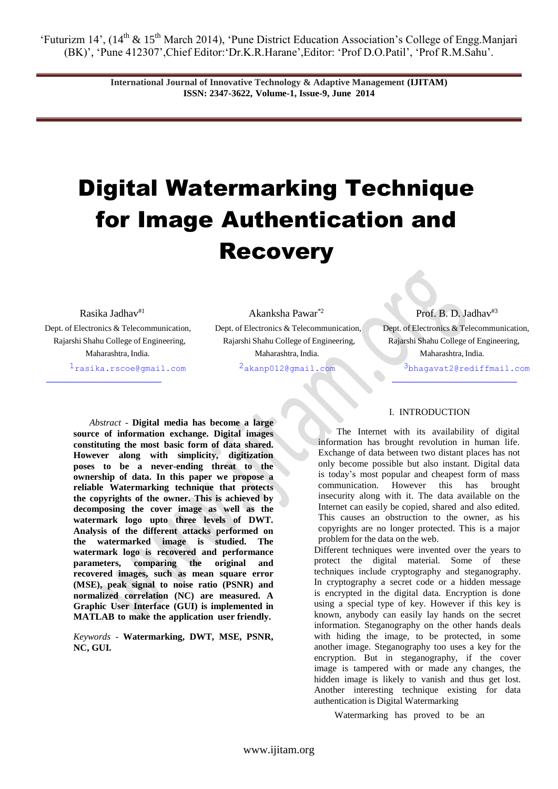> **International Journal of Innovative Technology & Adaptive Management (IJITAM) ISSN: 2347-3622, Volume-1, Issue-9, June 2014**

# Digital Watermarking Technique for Image Authentication and **Recovery**

Dept. of Electronics & Telecommunication, Dept. of Electronics & Telecommunication, Dept. of Electronics & Telecommunication, Maharashtra, India. [1rasika.rscoe@gmail.com](mailto:1rasika.rscoe@gmail.com)

Rasika Jadhav<sup>#1</sup> Akanksha Pawar<sup>\*2</sup> Prof. B. D. Jadhav<sup>#3</sup> Rajarshi Shahu College of Engineering, Rajarshi Shahu College of Engineering, Rajarshi Shahu College of Engineering, Maharashtra, India.

[2akanp012@gmail.com](mailto:2akanp012@gmail.com)

Maharashtra, India.

[3bhagavat2@rediffmail.com](mailto:3bhagavat2@rediffmail.com)

*Abstract* - **Digital media has become a large source of information exchange. Digital images constituting the most basic form of data shared. However along with simplicity, digitization poses to be a never-ending threat to the ownership of data. In this paper we propose a reliable Watermarking technique that protects the copyrights of the owner. This is achieved by decomposing the cover image as well as the watermark logo upto three levels of DWT. Analysis of the different attacks performed on the watermarked image is studied. The watermark logo is recovered and performance parameters, comparing the original and recovered images, such as mean square error (MSE), peak signal to noise ratio (PSNR) and normalized correlation (NC) are measured. A Graphic User Interface (GUI) is implemented in MATLAB to make the application user friendly.**

*Keywords* - **Watermarking, DWT, MSE, PSNR, NC, GUI.**

# I. INTRODUCTION

The Internet with its availability of digital information has brought revolution in human life. Exchange of data between two distant places has not only become possible but also instant. Digital data is today"s most popular and cheapest form of mass communication. However this has brought insecurity along with it. The data available on the Internet can easily be copied, shared and also edited. This causes an obstruction to the owner, as his copyrights are no longer protected. This is a major problem for the data on the web.

Different techniques were invented over the years to protect the digital material. Some of these techniques include cryptography and steganography. In cryptography a secret code or a hidden message is encrypted in the digital data. Encryption is done using a special type of key. However if this key is known, anybody can easily lay hands on the secret information. Steganography on the other hands deals with hiding the image, to be protected, in some another image. Steganography too uses a key for the encryption. But in steganography, if the cover image is tampered with or made any changes, the hidden image is likely to vanish and thus get lost. Another interesting technique existing for data authentication is Digital Watermarking

Watermarking has proved to be an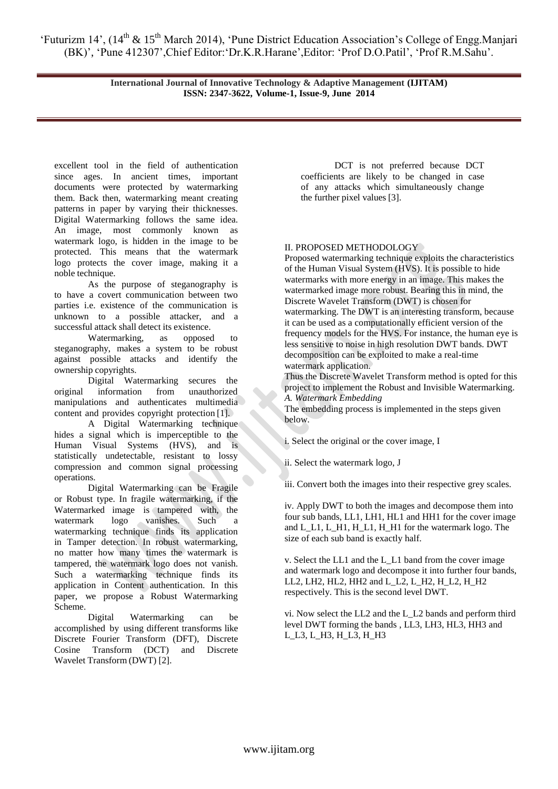> **International Journal of Innovative Technology & Adaptive Management (IJITAM) ISSN: 2347-3622, Volume-1, Issue-9, June 2014**

excellent tool in the field of authentication since ages. In ancient times, important documents were protected by watermarking them. Back then, watermarking meant creating patterns in paper by varying their thicknesses. Digital Watermarking follows the same idea. An image, most commonly known as watermark logo, is hidden in the image to be protected. This means that the watermark logo protects the cover image, making it a noble technique.

As the purpose of steganography is to have a covert communication between two parties i.e. existence of the communication is unknown to a possible attacker, and a successful attack shall detect its existence.

Watermarking, as opposed to steganography, makes a system to be robust against possible attacks and identify the ownership copyrights.

Digital Watermarking secures the original information from unauthorized manipulations and authenticates multimedia content and provides copyright protection [1].

A Digital Watermarking technique hides a signal which is imperceptible to the Human Visual Systems (HVS), and is statistically undetectable, resistant to lossy compression and common signal processing operations.

Digital Watermarking can be Fragile or Robust type. In fragile watermarking, if the Watermarked image is tampered with, the watermark logo vanishes. Such a watermarking technique finds its application in Tamper detection. In robust watermarking, no matter how many times the watermark is tampered, the watermark logo does not vanish. Such a watermarking technique finds its application in Content authentication. In this paper, we propose a Robust Watermarking Scheme.

Digital Watermarking can be accomplished by using different transforms like Discrete Fourier Transform (DFT), Discrete Cosine Transform (DCT) and Discrete Wavelet Transform (DWT) [2].

DCT is not preferred because DCT coefficients are likely to be changed in case of any attacks which simultaneously change the further pixel values [3].

# II. PROPOSED METHODOLOGY

Proposed watermarking technique exploits the characteristics of the Human Visual System (HVS). It is possible to hide watermarks with more energy in an image. This makes the watermarked image more robust. Bearing this in mind, the Discrete Wavelet Transform (DWT) is chosen for watermarking. The DWT is an interesting transform, because it can be used as a computationally efficient version of the frequency models for the HVS. For instance, the human eye is less sensitive to noise in high resolution DWT bands. DWT decomposition can be exploited to make a real-time watermark application.

Thus the Discrete Wavelet Transform method is opted for this project to implement the Robust and Invisible Watermarking. *A. Watermark Embedding* 

The embedding process is implemented in the steps given below.

i. Select the original or the cover image, I

ii. Select the watermark logo, J

iii. Convert both the images into their respective grey scales.

iv. Apply DWT to both the images and decompose them into four sub bands, LL1, LH1, HL1 and HH1 for the cover image and L\_L1, L\_H1, H\_L1, H\_H1 for the watermark logo. The size of each sub band is exactly half.

v. Select the LL1 and the L\_L1 band from the cover image and watermark logo and decompose it into further four bands, LL2, LH2, HL2, HH2 and L\_L2, L\_H2, H\_L2, H\_H2 respectively. This is the second level DWT.

vi. Now select the LL2 and the L\_L2 bands and perform third level DWT forming the bands , LL3, LH3, HL3, HH3 and L\_L3, L\_H3, H\_L3, H\_H3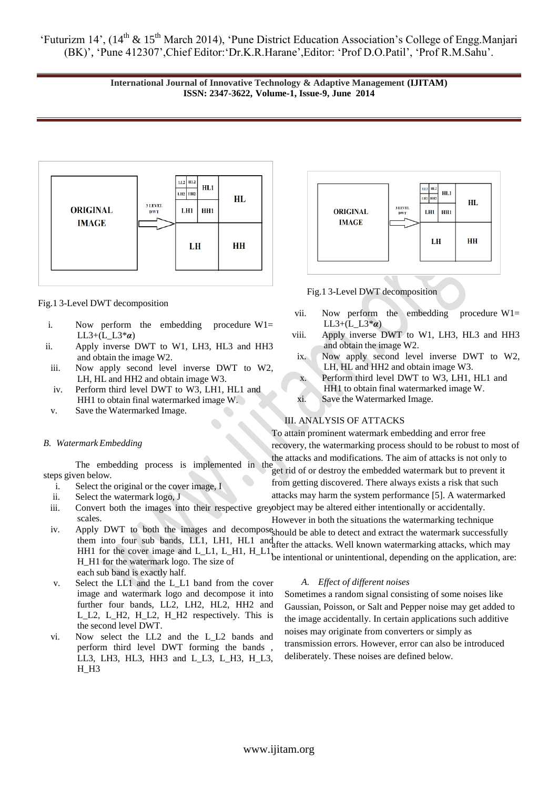> **International Journal of Innovative Technology & Adaptive Management (IJITAM) ISSN: 2347-3622, Volume-1, Issue-9, June 2014**



## Fig.1 3-Level DWT decomposition

- i. Now perform the embedding procedure  $W1=$ LL3+(L\_L3<sup>\*</sup> $\alpha$ )
- ii. Apply inverse DWT to W1, LH3, HL3 and HH3 and obtain the image W2.
- iii. Now apply second level inverse DWT to W2, LH, HL and HH2 and obtain image W3.
- iv. Perform third level DWT to W3, LH1, HL1 and HH1 to obtain final watermarked image W.
- v. Save the Watermarked Image.

#### *B. Watermark Embedding*

steps given below.

- i. Select the original or the cover image, I
- ii. Select the watermark logo, J
- iii. Convert both the images into their respective greyobject may be altered either intentionally or accidentally. scales.
- iv. Apply DWT to both the images and decomposes hould be able to detect and extract the watermark successfully them into four sub bands, LL1, LH1, HL1 and after the attacks. Well known watermarking attacks, which may HH1 for the cover image and  $L_L1$ ,  $L_H1$ ,  $H_L1$ , H\_H1 for the watermark logo. The size of be intentional or unintentional, depending on the application, are: each sub band is exactly half.
- v. Select the LL1 and the L\_L1 band from the cover image and watermark logo and decompose it into further four bands, LL2, LH2, HL2, HH2 and L\_L2, L\_H2, H\_L2, H\_H2 respectively. This is the second level DWT.
- vi. Now select the LL2 and the L\_L2 bands and perform third level DWT forming the bands , LL3, LH3, HL3, HH3 and L\_L3, L\_H3, H\_L3, H\_H3



Fig.1 3-Level DWT decomposition

- vii. Now perform the embedding procedure W1= LL3+(L\_L3\**α*)
- viii. Apply inverse DWT to W1, LH3, HL3 and HH3 and obtain the image W2.
- ix. Now apply second level inverse DWT to W2, LH, HL and HH2 and obtain image W3.
- x. Perform third level DWT to W3, LH1, HL1 and
- HH1 to obtain final watermarked image W.
- xi. Save the Watermarked Image.

# III. ANALYSIS OF ATTACKS

the attacks and modifications. The aim of attacks is not only to<br>The embedding process is implemented in the set aid of an declarate embedded untermediately approach To attain prominent watermark embedding and error free recovery, the watermarking process should to be robust to most of

get rid of or destroy the embedded watermark but to prevent it from getting discovered. There always exists a risk that such attacks may harm the system performance [5]. A watermarked

However in both the situations the watermarking technique

# *A. Effect of different noises*

Sometimes a random signal consisting of some noises like Gaussian, Poisson, or Salt and Pepper noise may get added to the image accidentally. In certain applications such additive noises may originate from converters or simply as transmission errors. However, error can also be introduced deliberately. These noises are defined below.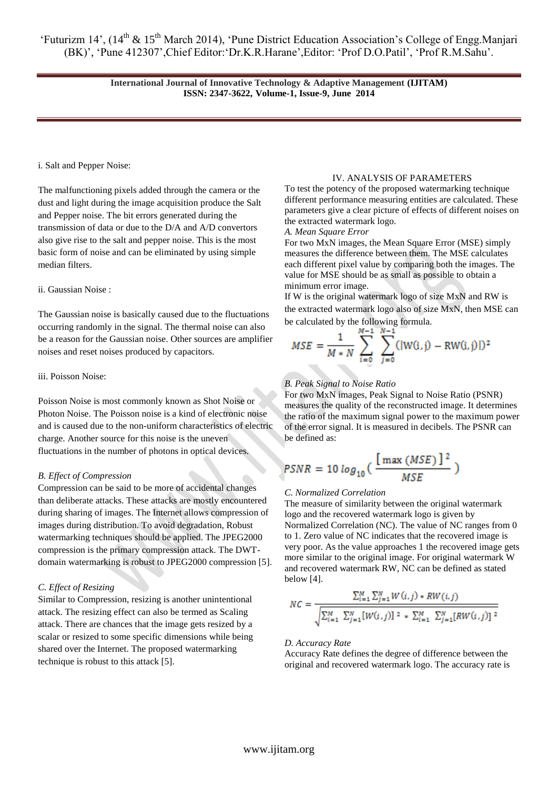> **International Journal of Innovative Technology & Adaptive Management (IJITAM) ISSN: 2347-3622, Volume-1, Issue-9, June 2014**

### i. Salt and Pepper Noise:

The malfunctioning pixels added through the camera or the dust and light during the image acquisition produce the Salt and Pepper noise. The bit errors generated during the transmission of data or due to the D/A and A/D convertors also give rise to the salt and pepper noise. This is the most basic form of noise and can be eliminated by using simple median filters.

#### ii. Gaussian Noise :

The Gaussian noise is basically caused due to the fluctuations occurring randomly in the signal. The thermal noise can also be a reason for the Gaussian noise. Other sources are amplifier noises and reset noises produced by capacitors.

#### iii. Poisson Noise:

Poisson Noise is most commonly known as Shot Noise or Photon Noise. The Poisson noise is a kind of electronic noise and is caused due to the non-uniform characteristics of electric charge. Another source for this noise is the uneven fluctuations in the number of photons in optical devices.

# *B. Effect of Compression*

Compression can be said to be more of accidental changes than deliberate attacks. These attacks are mostly encountered during sharing of images. The Internet allows compression of images during distribution. To avoid degradation, Robust watermarking techniques should be applied. The JPEG2000 compression is the primary compression attack. The DWTdomain watermarking is robust to JPEG2000 compression [5].

## *C. Effect of Resizing*

Similar to Compression, resizing is another unintentional attack. The resizing effect can also be termed as Scaling attack. There are chances that the image gets resized by a scalar or resized to some specific dimensions while being shared over the Internet. The proposed watermarking technique is robust to this attack [5].

#### IV. ANALYSIS OF PARAMETERS

To test the potency of the proposed watermarking technique different performance measuring entities are calculated. These parameters give a clear picture of effects of different noises on the extracted watermark logo.

*A. Mean Square Error* 

For two MxN images, the Mean Square Error (MSE) simply measures the difference between them. The MSE calculates each different pixel value by comparing both the images. The value for MSE should be as small as possible to obtain a minimum error image.

If W is the original watermark logo of size MxN and RW is the extracted watermark logo also of size MxN, then MSE can be calculated by the following formula.

$$
MSE = \frac{1}{M*N} \sum_{i=0}^{M-1} \sum_{j=0}^{N-1} (|W(i,j) - RW(i,j)|)^2
$$

# *B. Peak Signal to Noise Ratio*

For two MxN images, Peak Signal to Noise Ratio (PSNR) measures the quality of the reconstructed image. It determines the ratio of the maximum signal power to the maximum power of the error signal. It is measured in decibels. The PSNR can be defined as:

$$
PSNR = 10 \log_{10}\left(\frac{\text{[max (MSE)]}^2}{MSE}\right)
$$

#### *C. Normalized Correlation*

The measure of similarity between the original watermark logo and the recovered watermark logo is given by Normalized Correlation (NC). The value of NC ranges from 0 to 1. Zero value of NC indicates that the recovered image is very poor. As the value approaches 1 the recovered image gets more similar to the original image. For original watermark W and recovered watermark RW, NC can be defined as stated below [4].

$$
NC = \frac{\sum_{i=1}^{M} \sum_{j=1}^{N} W(i,j) * RW(i,j)}{\sqrt{\sum_{i=1}^{M} \sum_{j=1}^{N} [W(i,j)]^2 + \sum_{i=1}^{M} \sum_{j=1}^{N} [RW(i,j)]^2}}
$$

#### *D. Accuracy Rate*

Accuracy Rate defines the degree of difference between the original and recovered watermark logo. The accuracy rate is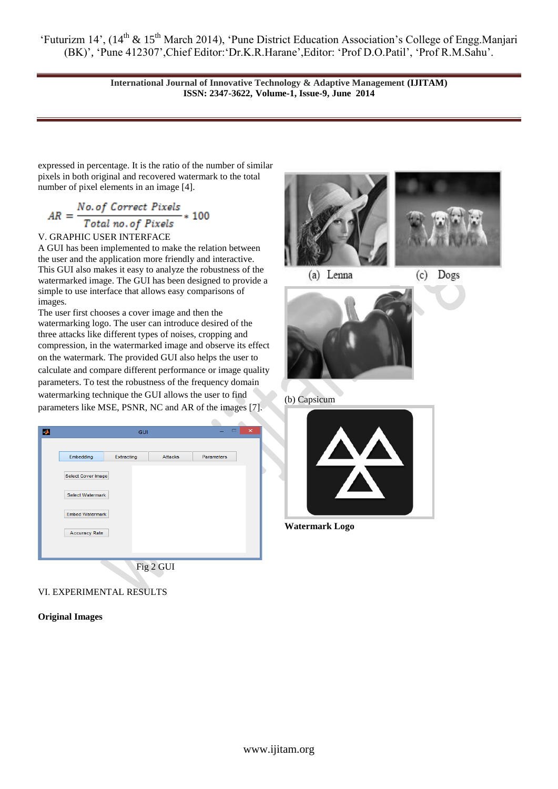> **International Journal of Innovative Technology & Adaptive Management (IJITAM) ISSN: 2347-3622, Volume-1, Issue-9, June 2014**

expressed in percentage. It is the ratio of the number of similar pixels in both original and recovered watermark to the total number of pixel elements in an image [4].

$$
AR = \frac{No. of Correct \; Pixels}{Total \; no. of \; Pixels} * 100
$$

# V. GRAPHIC USER INTERFACE

A GUI has been implemented to make the relation between the user and the application more friendly and interactive. This GUI also makes it easy to analyze the robustness of the watermarked image. The GUI has been designed to provide a simple to use interface that allows easy comparisons of images.

The user first chooses a cover image and then the watermarking logo. The user can introduce desired of the three attacks like different types of noises, cropping and compression, in the watermarked image and observe its effect on the watermark. The provided GUI also helps the user to calculate and compare different performance or image quality parameters. To test the robustness of the frequency domain watermarking technique the GUI allows the user to find parameters like MSE, PSNR, NC and AR of the images [7].



# VI. EXPERIMENTAL RESULTS

# **Original Images**





(a) Lenna

 $(c)$ Dogs



# (b) Capsicum



**Watermark Logo**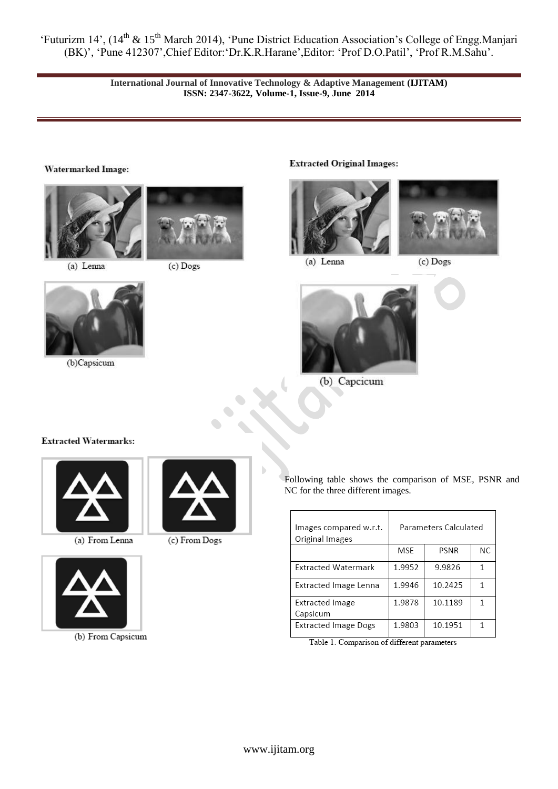> **International Journal of Innovative Technology & Adaptive Management (IJITAM) ISSN: 2347-3622, Volume-1, Issue-9, June 2014**

# Watermarked Image:





(c) Dogs

(c) From Dogs

(a) Lenna



(b)Capsicum

# **Extracted Original Images:**





(a) Lenna

(c) Dogs



(b) Capcicum

# **Extracted Watermarks:**



(a) From Lenna



(b) From Capsicum



| Images compared w.r.t.<br>Original Images | Parameters Calculated |         |    |
|-------------------------------------------|-----------------------|---------|----|
|                                           | MSE                   | PSNR    | ΝC |
| <b>Extracted Watermark</b>                | 1.9952                | 9.9826  | 1  |
| Extracted Image Lenna                     | 1.9946                | 10.2425 |    |
| <b>Extracted Image</b><br>Capsicum        | 1.9878                | 10.1189 |    |
| <b>Extracted Image Dogs</b>               | 1.9803                | 10.1951 |    |

Table 1. Comparison of different parameters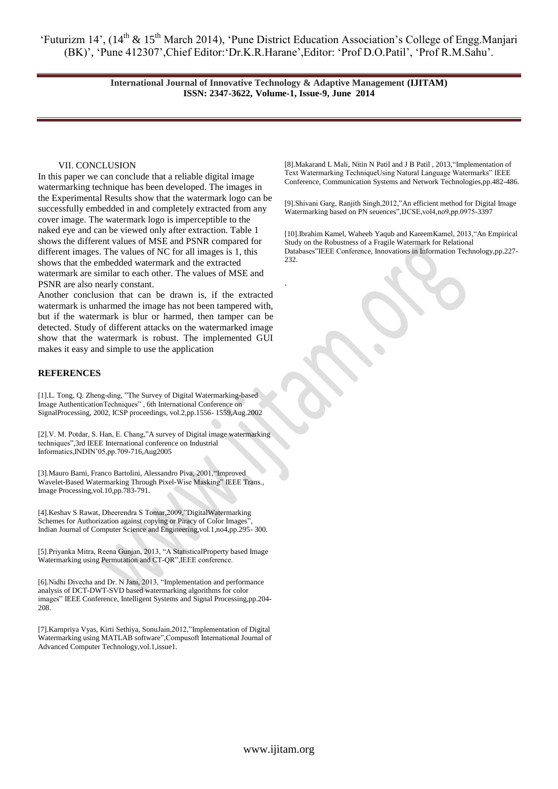> **International Journal of Innovative Technology & Adaptive Management (IJITAM) ISSN: 2347-3622, Volume-1, Issue-9, June 2014**

> > .

#### VII. CONCLUSION

In this paper we can conclude that a reliable digital image watermarking technique has been developed. The images in the Experimental Results show that the watermark logo can be successfully embedded in and completely extracted from any cover image. The watermark logo is imperceptible to the naked eye and can be viewed only after extraction. Table 1 shows the different values of MSE and PSNR compared for different images. The values of NC for all images is 1, this shows that the embedded watermark and the extracted watermark are similar to each other. The values of MSE and PSNR are also nearly constant.

Another conclusion that can be drawn is, if the extracted watermark is unharmed the image has not been tampered with, but if the watermark is blur or harmed, then tamper can be detected. Study of different attacks on the watermarked image show that the watermark is robust. The implemented GUI makes it easy and simple to use the application

#### **REFERENCES**

[1].L. Tong, Q. Zheng-ding, "The Survey of Digital Watermarking-based Image AuthenticationTechniques" , 6th International Conference on SignalProcessing, 2002, ICSP proceedings, vol.2,pp.1556- 1559,Aug.2002

[2].V. M. Potdar, S. Han, E. Chang,"A survey of Digital image watermarking techniques",3rd IEEE International conference on Industrial Informatics,INDIN"05,pp.709-716,Aug2005

[3].Mauro Barni, Franco Bartolini, Alessandro Piva, 2001,"Improved Wavelet-Based Watermarking Through Pixel-Wise Masking" IEEE Trans., Image Processing,vol.10,pp.783-791.

[4].Keshav S Rawat, Dheerendra S Tomar,2009,"DigitalWatermarking Schemes for Authorization against copying or Piracy of Color Images' Indian Journal of Computer Science and Engineering,vol.1,no4,pp.295- 300.

[5].Priyanka Mitra, Reena Gunjan, 2013, "A StatisticalProperty based Image Watermarking using Permutation and CT-QR",IEEE conference.

[6].Nidhi Divecha and Dr. N Jani, 2013, "Implementation and performance analysis of DCT-DWT-SVD based watermarking algorithms for color images" IEEE Conference, Intelligent Systems and Signal Processing,pp.204- 208.

[7].Karnpriya Vyas, Kirti Sethiya, SonuJain,2012,"Implementation of Digital Watermarking using MATLAB software",Compusoft International Journal of Advanced Computer Technology,vol.1,issue1.

[8].Makarand L Mali, Nitin N Patil and J B Patil , 2013,"Implementation of Text Watermarking TechniqueUsing Natural Language Watermarks" IEEE Conference, Communication Systems and Network Technologies,pp.482-486.

[9].Shivani Garg, Ranjith Singh,2012,"An efficient method for Digital Image Watermarking based on PN seuences",IJCSE,vol4,no9,pp.0975-3397

[10].Ibrahim Kamel, Waheeb Yaqub and KareemKamel, 2013,"An Empirical Study on the Robustness of a Fragile Watermark for Relational Databases"IEEE Conference, Innovations in Information Technology,pp.227- 232.